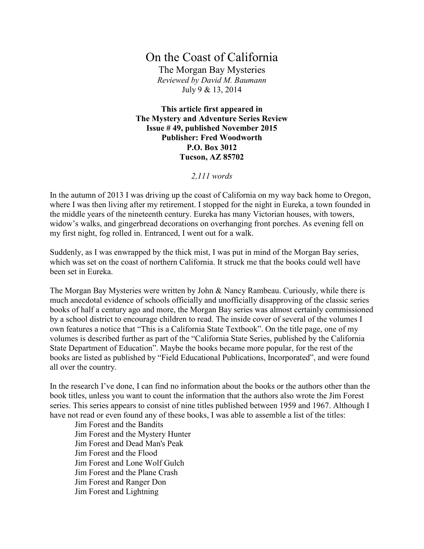## On the Coast of California

The Morgan Bay Mysteries *Reviewed by David M. Baumann* July 9 & 13, 2014

**This article first appeared in The Mystery and Adventure Series Review Issue # 49, published November 2015 Publisher: Fred Woodworth P.O. Box 3012 Tucson, AZ 85702**

*2,111 words*

In the autumn of 2013 I was driving up the coast of California on my way back home to Oregon, where I was then living after my retirement. I stopped for the night in Eureka, a town founded in the middle years of the nineteenth century. Eureka has many Victorian houses, with towers, widow's walks, and gingerbread decorations on overhanging front porches. As evening fell on my first night, fog rolled in. Entranced, I went out for a walk.

Suddenly, as I was enwrapped by the thick mist, I was put in mind of the Morgan Bay series, which was set on the coast of northern California. It struck me that the books could well have been set in Eureka.

The Morgan Bay Mysteries were written by John & Nancy Rambeau. Curiously, while there is much anecdotal evidence of schools officially and unofficially disapproving of the classic series books of half a century ago and more, the Morgan Bay series was almost certainly commissioned by a school district to encourage children to read. The inside cover of several of the volumes I own features a notice that "This is a California State Textbook". On the title page, one of my volumes is described further as part of the "California State Series, published by the California State Department of Education". Maybe the books became more popular, for the rest of the books are listed as published by "Field Educational Publications, Incorporated", and were found all over the country.

In the research I've done, I can find no information about the books or the authors other than the book titles, unless you want to count the information that the authors also wrote the Jim Forest series. This series appears to consist of nine titles published between 1959 and 1967. Although I have not read or even found any of these books, I was able to assemble a list of the titles:

Jim Forest and the Bandits Jim Forest and the Mystery Hunter Jim Forest and Dead Man's Peak Jim Forest and the Flood Jim Forest and Lone Wolf Gulch Jim Forest and the Plane Crash Jim Forest and Ranger Don Jim Forest and Lightning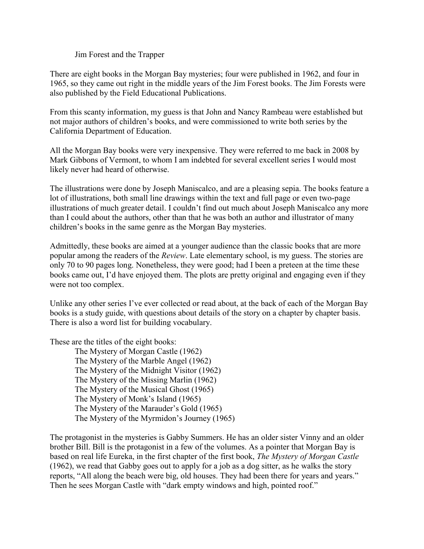Jim Forest and the Trapper

There are eight books in the Morgan Bay mysteries; four were published in 1962, and four in 1965, so they came out right in the middle years of the Jim Forest books. The Jim Forests were also published by the Field Educational Publications.

From this scanty information, my guess is that John and Nancy Rambeau were established but not major authors of children's books, and were commissioned to write both series by the California Department of Education.

All the Morgan Bay books were very inexpensive. They were referred to me back in 2008 by Mark Gibbons of Vermont, to whom I am indebted for several excellent series I would most likely never had heard of otherwise.

The illustrations were done by Joseph Maniscalco, and are a pleasing sepia. The books feature a lot of illustrations, both small line drawings within the text and full page or even two-page illustrations of much greater detail. I couldn't find out much about Joseph Maniscalco any more than I could about the authors, other than that he was both an author and illustrator of many children's books in the same genre as the Morgan Bay mysteries.

Admittedly, these books are aimed at a younger audience than the classic books that are more popular among the readers of the *Review*. Late elementary school, is my guess. The stories are only 70 to 90 pages long. Nonetheless, they were good; had I been a preteen at the time these books came out, I'd have enjoyed them. The plots are pretty original and engaging even if they were not too complex.

Unlike any other series I've ever collected or read about, at the back of each of the Morgan Bay books is a study guide, with questions about details of the story on a chapter by chapter basis. There is also a word list for building vocabulary.

These are the titles of the eight books:

The Mystery of Morgan Castle (1962) The Mystery of the Marble Angel (1962) The Mystery of the Midnight Visitor (1962) The Mystery of the Missing Marlin (1962) The Mystery of the Musical Ghost (1965) The Mystery of Monk's Island (1965) The Mystery of the Marauder's Gold (1965) The Mystery of the Myrmidon's Journey (1965)

The protagonist in the mysteries is Gabby Summers. He has an older sister Vinny and an older brother Bill. Bill is the protagonist in a few of the volumes. As a pointer that Morgan Bay is based on real life Eureka, in the first chapter of the first book, *The Mystery of Morgan Castle* (1962), we read that Gabby goes out to apply for a job as a dog sitter, as he walks the story reports, "All along the beach were big, old houses. They had been there for years and years." Then he sees Morgan Castle with "dark empty windows and high, pointed roof."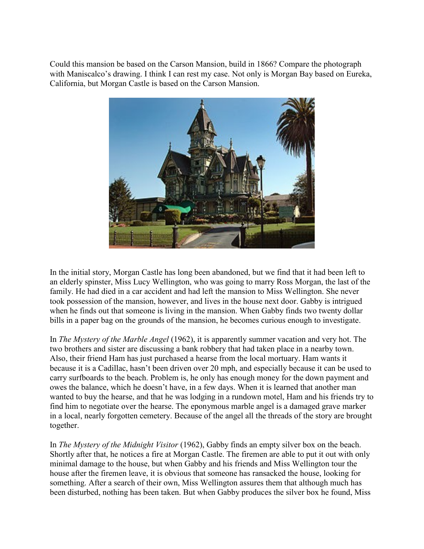Could this mansion be based on the Carson Mansion, build in 1866? Compare the photograph with Maniscalco's drawing. I think I can rest my case. Not only is Morgan Bay based on Eureka, California, but Morgan Castle is based on the Carson Mansion.



In the initial story, Morgan Castle has long been abandoned, but we find that it had been left to an elderly spinster, Miss Lucy Wellington, who was going to marry Ross Morgan, the last of the family. He had died in a car accident and had left the mansion to Miss Wellington. She never took possession of the mansion, however, and lives in the house next door. Gabby is intrigued when he finds out that someone is living in the mansion. When Gabby finds two twenty dollar bills in a paper bag on the grounds of the mansion, he becomes curious enough to investigate.

In *The Mystery of the Marble Angel* (1962), it is apparently summer vacation and very hot. The two brothers and sister are discussing a bank robbery that had taken place in a nearby town. Also, their friend Ham has just purchased a hearse from the local mortuary. Ham wants it because it is a Cadillac, hasn't been driven over 20 mph, and especially because it can be used to carry surfboards to the beach. Problem is, he only has enough money for the down payment and owes the balance, which he doesn't have, in a few days. When it is learned that another man wanted to buy the hearse, and that he was lodging in a rundown motel, Ham and his friends try to find him to negotiate over the hearse. The eponymous marble angel is a damaged grave marker in a local, nearly forgotten cemetery. Because of the angel all the threads of the story are brought together.

In *The Mystery of the Midnight Visitor* (1962), Gabby finds an empty silver box on the beach. Shortly after that, he notices a fire at Morgan Castle. The firemen are able to put it out with only minimal damage to the house, but when Gabby and his friends and Miss Wellington tour the house after the firemen leave, it is obvious that someone has ransacked the house, looking for something. After a search of their own, Miss Wellington assures them that although much has been disturbed, nothing has been taken. But when Gabby produces the silver box he found, Miss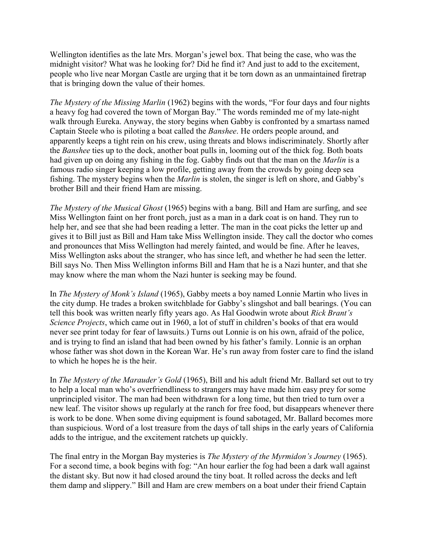Wellington identifies as the late Mrs. Morgan's jewel box. That being the case, who was the midnight visitor? What was he looking for? Did he find it? And just to add to the excitement, people who live near Morgan Castle are urging that it be torn down as an unmaintained firetrap that is bringing down the value of their homes.

*The Mystery of the Missing Marlin* (1962) begins with the words, "For four days and four nights a heavy fog had covered the town of Morgan Bay." The words reminded me of my late-night walk through Eureka. Anyway, the story begins when Gabby is confronted by a smartass named Captain Steele who is piloting a boat called the *Banshee*. He orders people around, and apparently keeps a tight rein on his crew, using threats and blows indiscriminately. Shortly after the *Banshee* ties up to the dock, another boat pulls in, looming out of the thick fog. Both boats had given up on doing any fishing in the fog. Gabby finds out that the man on the *Marlin* is a famous radio singer keeping a low profile, getting away from the crowds by going deep sea fishing. The mystery begins when the *Marlin* is stolen, the singer is left on shore, and Gabby's brother Bill and their friend Ham are missing.

*The Mystery of the Musical Ghost* (1965) begins with a bang. Bill and Ham are surfing, and see Miss Wellington faint on her front porch, just as a man in a dark coat is on hand. They run to help her, and see that she had been reading a letter. The man in the coat picks the letter up and gives it to Bill just as Bill and Ham take Miss Wellington inside. They call the doctor who comes and pronounces that Miss Wellington had merely fainted, and would be fine. After he leaves, Miss Wellington asks about the stranger, who has since left, and whether he had seen the letter. Bill says No. Then Miss Wellington informs Bill and Ham that he is a Nazi hunter, and that she may know where the man whom the Nazi hunter is seeking may be found.

In *The Mystery of Monk's Island* (1965), Gabby meets a boy named Lonnie Martin who lives in the city dump. He trades a broken switchblade for Gabby's slingshot and ball bearings. (You can tell this book was written nearly fifty years ago. As Hal Goodwin wrote about *Rick Brant's Science Projects*, which came out in 1960, a lot of stuff in children's books of that era would never see print today for fear of lawsuits.) Turns out Lonnie is on his own, afraid of the police, and is trying to find an island that had been owned by his father's family. Lonnie is an orphan whose father was shot down in the Korean War. He's run away from foster care to find the island to which he hopes he is the heir.

In *The Mystery of the Marauder's Gold* (1965), Bill and his adult friend Mr. Ballard set out to try to help a local man who's overfriendliness to strangers may have made him easy prey for some unprincipled visitor. The man had been withdrawn for a long time, but then tried to turn over a new leaf. The visitor shows up regularly at the ranch for free food, but disappears whenever there is work to be done. When some diving equipment is found sabotaged, Mr. Ballard becomes more than suspicious. Word of a lost treasure from the days of tall ships in the early years of California adds to the intrigue, and the excitement ratchets up quickly.

The final entry in the Morgan Bay mysteries is *The Mystery of the Myrmidon's Journey* (1965). For a second time, a book begins with fog: "An hour earlier the fog had been a dark wall against the distant sky. But now it had closed around the tiny boat. It rolled across the decks and left them damp and slippery." Bill and Ham are crew members on a boat under their friend Captain